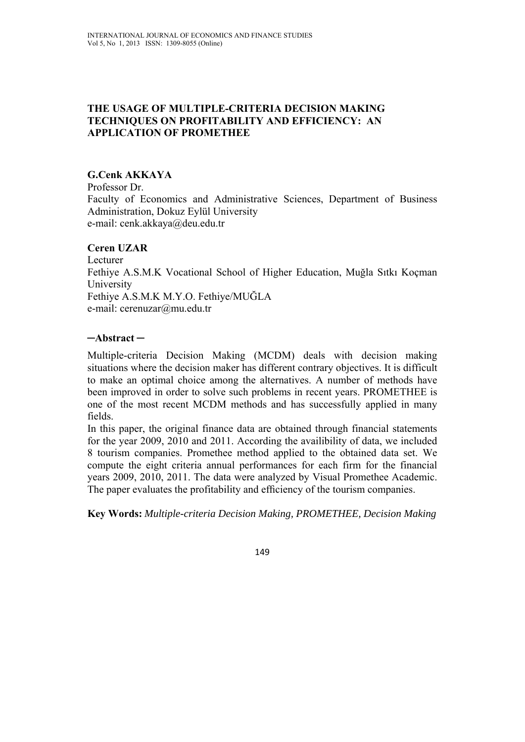# **THE USAGE OF MULTIPLE-CRITERIA DECISION MAKING TECHNIQUES ON PROFITABILITY AND EFFICIENCY: AN APPLICATION OF PROMETHEE**

### **G.Cenk AKKAYA**

Professor Dr. Faculty of Economics and Administrative Sciences, Department of Business Administration, Dokuz Eylül University e-mail: cenk.akkaya@deu.edu.tr

#### **Ceren UZAR**

Lecturer Fethiye A.S.M.K Vocational School of Higher Education, Muğla Sıtkı Koçman University Fethiye A.S.M.K M.Y.O. Fethiye/MUĞLA e-mail: cerenuzar@mu.edu.tr

### **─Abstract ─**

Multiple-criteria Decision Making (MCDM) deals with decision making situations where the decision maker has different contrary objectives. It is difficult to make an optimal choice among the alternatives. A number of methods have been improved in order to solve such problems in recent years. PROMETHEE is one of the most recent MCDM methods and has successfully applied in many fields.

In this paper, the original finance data are obtained through financial statements for the year 2009, 2010 and 2011. According the availibility of data, we included 8 tourism companies. Promethee method applied to the obtained data set. We compute the eight criteria annual performances for each firm for the financial years 2009, 2010, 2011. The data were analyzed by Visual Promethee Academic. The paper evaluates the profitability and efficiency of the tourism companies.

**Key Words:** *Multiple-criteria Decision Making, PROMETHEE, Decision Making*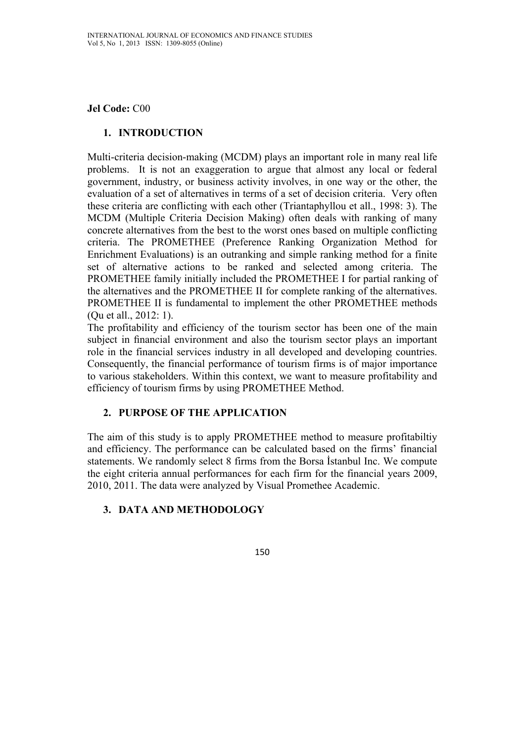**Jel Code:** C00

# **1. INTRODUCTION**

Multi-criteria decision-making (MCDM) plays an important role in many real life problems. It is not an exaggeration to argue that almost any local or federal government, industry, or business activity involves, in one way or the other, the evaluation of a set of alternatives in terms of a set of decision criteria. Very often these criteria are conflicting with each other (Triantaphyllou et all., 1998: 3). The MCDM (Multiple Criteria Decision Making) often deals with ranking of many concrete alternatives from the best to the worst ones based on multiple conflicting criteria. The PROMETHEE (Preference Ranking Organization Method for Enrichment Evaluations) is an outranking and simple ranking method for a finite set of alternative actions to be ranked and selected among criteria. The PROMETHEE family initially included the PROMETHEE I for partial ranking of the alternatives and the PROMETHEE II for complete ranking of the alternatives. PROMETHEE II is fundamental to implement the other PROMETHEE methods (Qu et all., 2012: 1).

The profitability and efficiency of the tourism sector has been one of the main subject in financial environment and also the tourism sector plays an important role in the financial services industry in all developed and developing countries. Consequently, the financial performance of tourism firms is of major importance to various stakeholders. Within this context, we want to measure profitability and efficiency of tourism firms by using PROMETHEE Method.

# **2. PURPOSE OF THE APPLICATION**

The aim of this study is to apply PROMETHEE method to measure profitabiltiy and efficiency. The performance can be calculated based on the firms' financial statements. We randomly select 8 firms from the Borsa İstanbul Inc. We compute the eight criteria annual performances for each firm for the financial years 2009, 2010, 2011. The data were analyzed by Visual Promethee Academic.

# **3. DATA AND METHODOLOGY**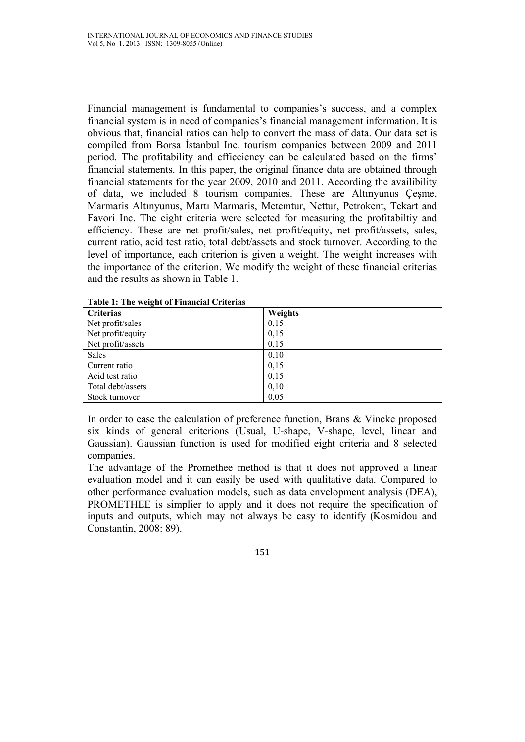Financial management is fundamental to companies's success, and a complex financial system is in need of companies's financial management information. It is obvious that, financial ratios can help to convert the mass of data. Our data set is compiled from Borsa İstanbul Inc. tourism companies between 2009 and 2011 period. The profitability and efficciency can be calculated based on the firms' financial statements. In this paper, the original finance data are obtained through financial statements for the year 2009, 2010 and 2011. According the availibility of data, we included 8 tourism companies. These are Altınyunus Çeşme, Marmaris Altınyunus, Martı Marmaris, Metemtur, Nettur, Petrokent, Tekart and Favori Inc. The eight criteria were selected for measuring the profitabiltiy and efficiency. These are net profit/sales, net profit/equity, net profit/assets, sales, current ratio, acid test ratio, total debt/assets and stock turnover. According to the level of importance, each criterion is given a weight. The weight increases with the importance of the criterion. We modify the weight of these financial criterias and the results as shown in Table 1.

| <b>Criterias</b>  | Weights |
|-------------------|---------|
| Net profit/sales  | 0,15    |
| Net profit/equity | 0,15    |
| Net profit/assets | 0,15    |
| Sales             | 0,10    |
| Current ratio     | 0,15    |
| Acid test ratio   | 0,15    |
| Total debt/assets | 0,10    |
| Stock turnover    | 0,05    |

**Table 1: The weight of Financial Criterias** 

In order to ease the calculation of preference function, Brans & Vincke proposed six kinds of general criterions (Usual, U-shape, V-shape, level, linear and Gaussian). Gaussian function is used for modified eight criteria and 8 selected companies.

The advantage of the Promethee method is that it does not approved a linear evaluation model and it can easily be used with qualitative data. Compared to other performance evaluation models, such as data envelopment analysis (DEA), PROMETHEE is simplier to apply and it does not require the specification of inputs and outputs, which may not always be easy to identify (Kosmidou and Constantin, 2008: 89).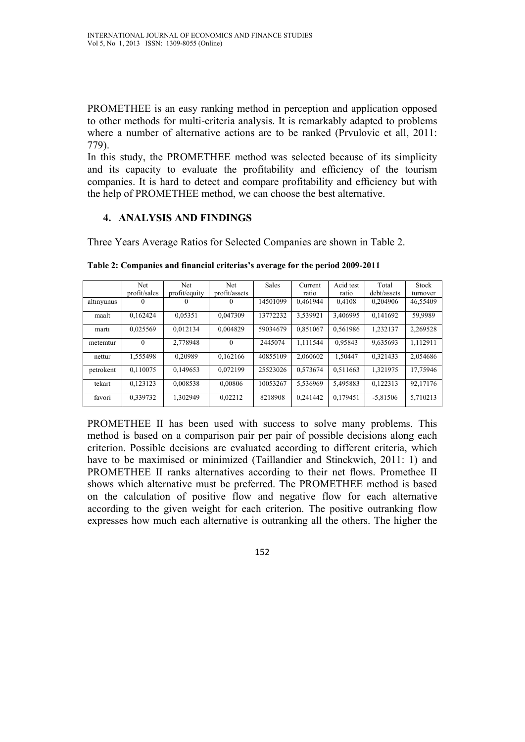PROMETHEE is an easy ranking method in perception and application opposed to other methods for multi-criteria analysis. It is remarkably adapted to problems where a number of alternative actions are to be ranked (Prvulovic et all, 2011: 779).

In this study, the PROMETHEE method was selected because of its simplicity and its capacity to evaluate the profitability and efficiency of the tourism companies. It is hard to detect and compare profitability and efficiency but with the help of PROMETHEE method, we can choose the best alternative.

#### **4. ANALYSIS AND FINDINGS**

Three Years Average Ratios for Selected Companies are shown in Table 2.

|            | Net          | Net           | Net           | <b>Sales</b> | Current  | Acid test | Total       | <b>Stock</b> |
|------------|--------------|---------------|---------------|--------------|----------|-----------|-------------|--------------|
|            | profit/sales | profit/equity | profit/assets |              | ratio    | ratio     | debt/assets | turnover     |
| altınyunus | $\theta$     | $\theta$      | $\Omega$      | 14501099     | 0.461944 | 0,4108    | 0,204906    | 46,55409     |
| maalt      | 0.162424     | 0.05351       | 0.047309      | 13772232     | 3.539921 | 3.406995  | 0.141692    | 59,9989      |
| marti      | 0.025569     | 0.012134      | 0.004829      | 59034679     | 0.851067 | 0.561986  | 1,232137    | 2,269528     |
| metemtur   | $\Omega$     | 2.778948      | $\Omega$      | 2445074      | 1.111544 | 0.95843   | 9,635693    | 1,112911     |
| nettur     | 1.555498     | 0.20989       | 0.162166      | 40855109     | 2.060602 | 1.50447   | 0.321433    | 2.054686     |
| petrokent  | 0.110075     | 0,149653      | 0.072199      | 25523026     | 0.573674 | 0.511663  | 1,321975    | 17,75946     |
| tekart     | 0.123123     | 0,008538      | 0.00806       | 10053267     | 5,536969 | 5,495883  | 0,122313    | 92,17176     |
| favori     | 0.339732     | 1.302949      | 0.02212       | 8218908      | 0.241442 | 0,179451  | $-5,81506$  | 5,710213     |

**Table 2: Companies and financial criterias's average for the period 2009-2011** 

PROMETHEE II has been used with success to solve many problems. This method is based on a comparison pair per pair of possible decisions along each criterion. Possible decisions are evaluated according to different criteria, which have to be maximised or minimized (Taillandier and Stinckwich, 2011: 1) and PROMETHEE II ranks alternatives according to their net flows. Promethee II shows which alternative must be preferred. The PROMETHEE method is based on the calculation of positive flow and negative flow for each alternative according to the given weight for each criterion. The positive outranking flow expresses how much each alternative is outranking all the others. The higher the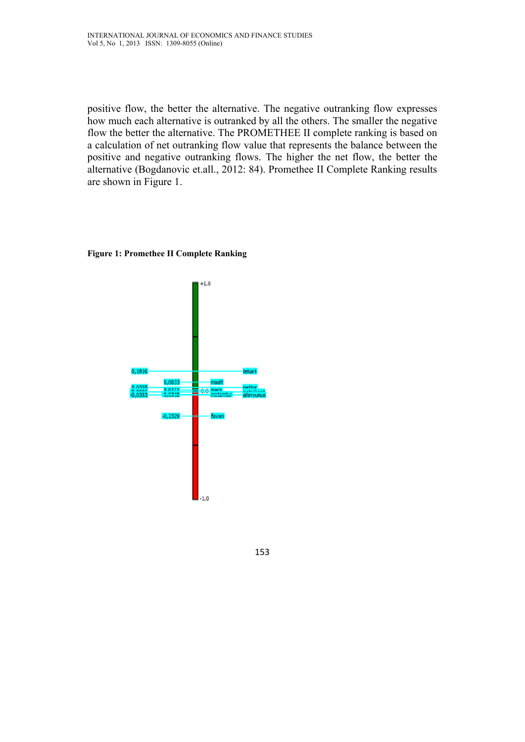positive flow, the better the alternative. The negative outranking flow expresses how much each alternative is outranked by all the others. The smaller the negative flow the better the alternative. The PROMETHEE II complete ranking is based on a calculation of net outranking flow value that represents the balance between the positive and negative outranking flows. The higher the net flow, the better the alternative (Bogdanovic et.all., 2012: 84). Promethee II Complete Ranking results are shown in Figure 1.

#### **Figure 1: Promethee II Complete Ranking**



153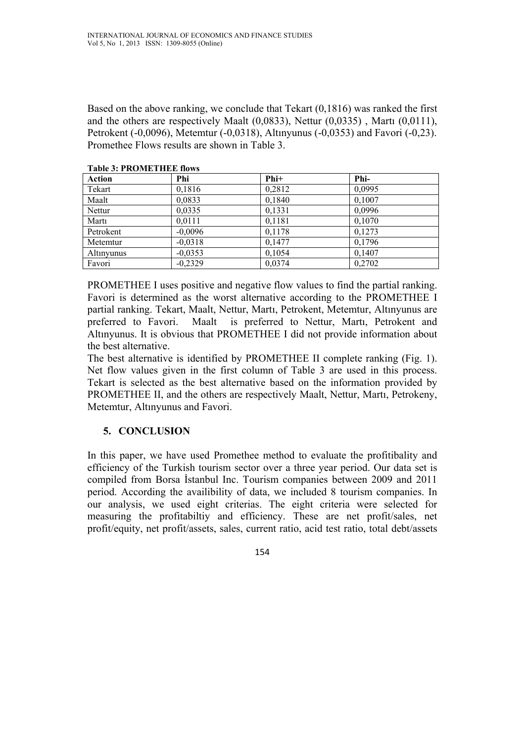Based on the above ranking, we conclude that Tekart (0,1816) was ranked the first and the others are respectively Maalt (0,0833), Nettur (0,0335) , Martı (0,0111), Petrokent (-0,0096), Metemtur (-0,0318), Altınyunus (-0,0353) and Favori (-0,23). Promethee Flows results are shown in Table 3.

| 1 W.V.IV V. 1 14 V.I.I.D 1 11 D.D 11 V.I.V |           |        |        |  |  |  |
|--------------------------------------------|-----------|--------|--------|--|--|--|
| <b>Action</b>                              | Phi       | $Phi+$ | Phi-   |  |  |  |
| Tekart                                     | 0,1816    | 0,2812 | 0,0995 |  |  |  |
| Maalt                                      | 0,0833    | 0,1840 | 0,1007 |  |  |  |
| Nettur                                     | 0,0335    | 0,1331 | 0,0996 |  |  |  |
| Marti                                      | 0,0111    | 0,1181 | 0,1070 |  |  |  |
| Petrokent                                  | $-0,0096$ | 0,1178 | 0,1273 |  |  |  |
| Metemtur                                   | $-0,0318$ | 0,1477 | 0,1796 |  |  |  |
| Altinyunus                                 | $-0,0353$ | 0,1054 | 0,1407 |  |  |  |
| Favori                                     | $-0,2329$ | 0,0374 | 0,2702 |  |  |  |

**Table 3: PROMETHEE flows** 

PROMETHEE I uses positive and negative flow values to find the partial ranking. Favori is determined as the worst alternative according to the PROMETHEE I partial ranking. Tekart, Maalt, Nettur, Martı, Petrokent, Metemtur, Altınyunus are preferred to Favori. Maalt is preferred to Nettur, Martı, Petrokent and Altınyunus. It is obvious that PROMETHEE I did not provide information about the best alternative.

The best alternative is identified by PROMETHEE II complete ranking (Fig. 1). Net flow values given in the first column of Table 3 are used in this process. Tekart is selected as the best alternative based on the information provided by PROMETHEE II, and the others are respectively Maalt, Nettur, Martı, Petrokeny, Metemtur, Altınyunus and Favori.

# **5. CONCLUSION**

In this paper, we have used Promethee method to evaluate the profitibality and efficiency of the Turkish tourism sector over a three year period. Our data set is compiled from Borsa İstanbul Inc. Tourism companies between 2009 and 2011 period. According the availibility of data, we included 8 tourism companies. In our analysis, we used eight criterias. The eight criteria were selected for measuring the profitabiltiy and efficiency. These are net profit/sales, net profit/equity, net profit/assets, sales, current ratio, acid test ratio, total debt/assets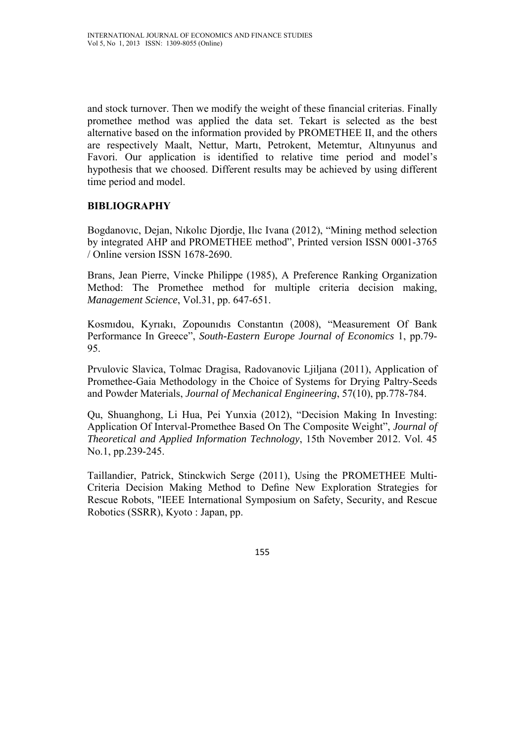and stock turnover. Then we modify the weight of these financial criterias. Finally promethee method was applied the data set. Tekart is selected as the best alternative based on the information provided by PROMETHEE II, and the others are respectively Maalt, Nettur, Martı, Petrokent, Metemtur, Altınyunus and Favori. Our application is identified to relative time period and model's hypothesis that we choosed. Different results may be achieved by using different time period and model.

# **BIBLIOGRAPHY**

Bogdanovıc, Dejan, Nıkolıc Djordje, Ilıc Ivana (2012), "Mining method selection by integrated AHP and PROMETHEE method", Printed version ISSN 0001-3765 / Online version ISSN 1678-2690.

Brans, Jean Pierre, Vincke Philippe (1985), A Preference Ranking Organization Method: The Promethee method for multiple criteria decision making, *Management Science*, Vol.31, pp. 647-651.

Kosmıdou, Kyrıakı, Zopounıdıs Constantın (2008), "Measurement Of Bank Performance In Greece", *South-Eastern Europe Journal of Economics* 1, pp.79- 95.

Prvulovic Slavica, Tolmac Dragisa, Radovanovic Ljiljana (2011), Application of Promethee-Gaia Methodology in the Choice of Systems for Drying Paltry-Seeds and Powder Materials, *Journal of Mechanical Engineering*, 57(10), pp.778-784.

Qu, Shuanghong, Li Hua, Pei Yunxia (2012), "Decision Making In Investing: Application Of Interval-Promethee Based On The Composite Weight", *Journal of Theoretical and Applied Information Technology*, 15th November 2012. Vol. 45 No.1, pp.239-245.

Taillandier, Patrick, Stinckwich Serge (2011), Using the PROMETHEE Multi-Criteria Decision Making Method to Define New Exploration Strategies for Rescue Robots, "IEEE International Symposium on Safety, Security, and Rescue Robotics (SSRR), Kyoto : Japan, pp.